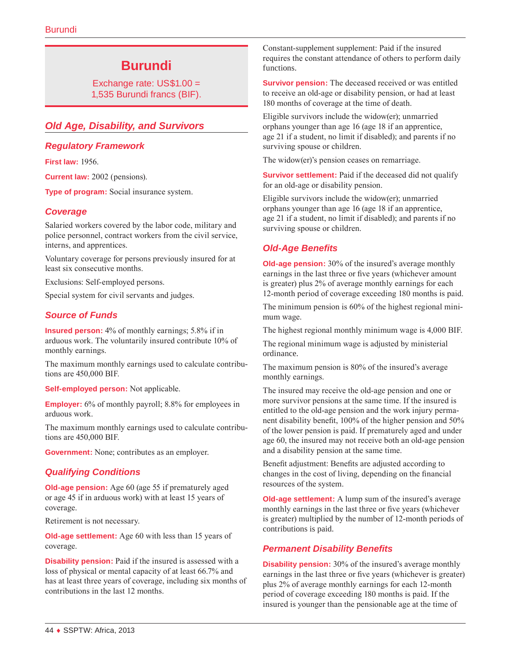# **Burundi**

Exchange rate: US\$1.00 = 1,535 Burundi francs (BIF).

# *Old Age, Disability, and Survivors*

## *Regulatory Framework*

**First law:** 1956.

**Current law:** 2002 (pensions).

**Type of program:** Social insurance system.

## *Coverage*

Salaried workers covered by the labor code, military and police personnel, contract workers from the civil service, interns, and apprentices.

Voluntary coverage for persons previously insured for at least six consecutive months.

Exclusions: Self-employed persons.

Special system for civil servants and judges.

# *Source of Funds*

**Insured person:** 4% of monthly earnings; 5.8% if in arduous work. The voluntarily insured contribute 10% of monthly earnings.

The maximum monthly earnings used to calculate contributions are 450,000 BIF.

**Self-employed person:** Not applicable.

**Employer:** 6% of monthly payroll; 8.8% for employees in arduous work.

The maximum monthly earnings used to calculate contributions are 450,000 BIF.

**Government:** None; contributes as an employer.

# *Qualifying Conditions*

**Old-age pension:** Age 60 (age 55 if prematurely aged or age 45 if in arduous work) with at least 15 years of coverage.

Retirement is not necessary.

**Old-age settlement:** Age 60 with less than 15 years of coverage.

**Disability pension:** Paid if the insured is assessed with a loss of physical or mental capacity of at least 66.7% and has at least three years of coverage, including six months of contributions in the last 12 months.

Constant-supplement supplement: Paid if the insured requires the constant attendance of others to perform daily functions.

**Survivor pension:** The deceased received or was entitled to receive an old-age or disability pension, or had at least 180 months of coverage at the time of death.

Eligible survivors include the widow(er); unmarried orphans younger than age 16 (age 18 if an apprentice, age 21 if a student, no limit if disabled); and parents if no surviving spouse or children.

The widow(er)'s pension ceases on remarriage.

**Survivor settlement:** Paid if the deceased did not qualify for an old-age or disability pension.

Eligible survivors include the widow(er); unmarried orphans younger than age 16 (age 18 if an apprentice, age 21 if a student, no limit if disabled); and parents if no surviving spouse or children.

## *Old-Age Benefits*

**Old-age pension:** 30% of the insured's average monthly earnings in the last three or five years (whichever amount is greater) plus 2% of average monthly earnings for each 12-month period of coverage exceeding 180 months is paid.

The minimum pension is 60% of the highest regional minimum wage.

The highest regional monthly minimum wage is 4,000 BIF.

The regional minimum wage is adjusted by ministerial ordinance.

The maximum pension is 80% of the insured's average monthly earnings.

The insured may receive the old-age pension and one or more survivor pensions at the same time. If the insured is entitled to the old-age pension and the work injury permanent disability benefit, 100% of the higher pension and 50% of the lower pension is paid. If prematurely aged and under age 60, the insured may not receive both an old-age pension and a disability pension at the same time.

Benefit adjustment: Benefits are adjusted according to changes in the cost of living, depending on the financial resources of the system.

**Old-age settlement:** A lump sum of the insured's average monthly earnings in the last three or five years (whichever is greater) multiplied by the number of 12-month periods of contributions is paid.

# *Permanent Disability Benefits*

**Disability pension:** 30% of the insured's average monthly earnings in the last three or five years (whichever is greater) plus 2% of average monthly earnings for each 12-month period of coverage exceeding 180 months is paid. If the insured is younger than the pensionable age at the time of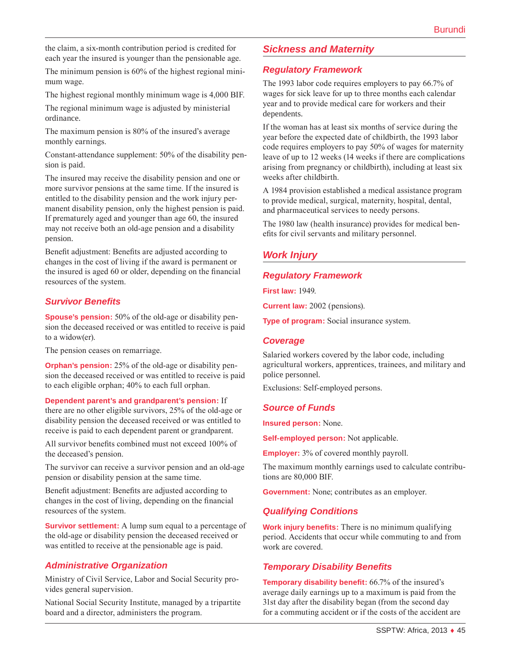the claim, a six-month contribution period is credited for each year the insured is younger than the pensionable age.

The minimum pension is 60% of the highest regional minimum wage.

The highest regional monthly minimum wage is 4,000 BIF.

The regional minimum wage is adjusted by ministerial ordinance.

The maximum pension is 80% of the insured's average monthly earnings.

Constant-attendance supplement: 50% of the disability pension is paid.

The insured may receive the disability pension and one or more survivor pensions at the same time. If the insured is entitled to the disability pension and the work injury permanent disability pension, only the highest pension is paid. If prematurely aged and younger than age 60, the insured may not receive both an old-age pension and a disability pension.

Benefit adjustment: Benefits are adjusted according to changes in the cost of living if the award is permanent or the insured is aged 60 or older, depending on the financial resources of the system.

## *Survivor Benefits*

**Spouse's pension:** 50% of the old-age or disability pension the deceased received or was entitled to receive is paid to a widow(er).

The pension ceases on remarriage.

**Orphan's pension:** 25% of the old-age or disability pension the deceased received or was entitled to receive is paid to each eligible orphan; 40% to each full orphan.

**Dependent parent's and grandparent's pension:** If there are no other eligible survivors, 25% of the old-age or disability pension the deceased received or was entitled to receive is paid to each dependent parent or grandparent.

All survivor benefits combined must not exceed 100% of the deceased's pension.

The survivor can receive a survivor pension and an old-age pension or disability pension at the same time.

Benefit adjustment: Benefits are adjusted according to changes in the cost of living, depending on the financial resources of the system.

**Survivor settlement:** A lump sum equal to a percentage of the old-age or disability pension the deceased received or was entitled to receive at the pensionable age is paid.

#### *Administrative Organization*

Ministry of Civil Service, Labor and Social Security provides general supervision.

National Social Security Institute, managed by a tripartite board and a director, administers the program.

## *Sickness and Maternity*

#### *Regulatory Framework*

The 1993 labor code requires employers to pay 66.7% of wages for sick leave for up to three months each calendar year and to provide medical care for workers and their dependents.

If the woman has at least six months of service during the year before the expected date of childbirth, the 1993 labor code requires employers to pay 50% of wages for maternity leave of up to 12 weeks (14 weeks if there are complications arising from pregnancy or childbirth), including at least six weeks after childbirth.

A 1984 provision established a medical assistance program to provide medical, surgical, maternity, hospital, dental, and pharmaceutical services to needy persons.

The 1980 law (health insurance) provides for medical benefits for civil servants and military personnel.

# *Work Injury*

#### *Regulatory Framework*

**First law:** 1949.

**Current law:** 2002 (pensions).

**Type of program:** Social insurance system.

#### *Coverage*

Salaried workers covered by the labor code, including agricultural workers, apprentices, trainees, and military and police personnel.

Exclusions: Self-employed persons.

## *Source of Funds*

**Insured person:** None.

**Self-employed person:** Not applicable.

**Employer:** 3% of covered monthly payroll.

The maximum monthly earnings used to calculate contributions are 80,000 BIF.

**Government:** None; contributes as an employer.

## *Qualifying Conditions*

**Work injury benefits:** There is no minimum qualifying period. Accidents that occur while commuting to and from work are covered.

## *Temporary Disability Benefits*

**Temporary disability benefit:** 66.7% of the insured's average daily earnings up to a maximum is paid from the 31st day after the disability began (from the second day for a commuting accident or if the costs of the accident are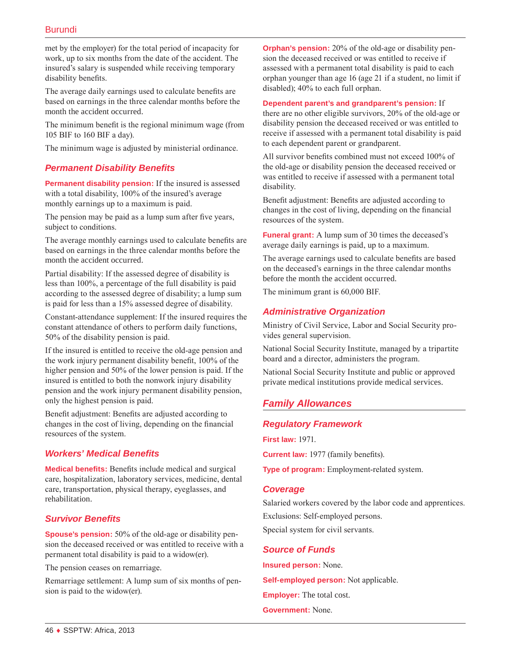met by the employer) for the total period of incapacity for work, up to six months from the date of the accident. The insured's salary is suspended while receiving temporary disability benefits.

The average daily earnings used to calculate benefits are based on earnings in the three calendar months before the month the accident occurred.

The minimum benefit is the regional minimum wage (from 105 BIF to 160 BIF a day).

The minimum wage is adjusted by ministerial ordinance.

## *Permanent Disability Benefits*

**Permanent disability pension:** If the insured is assessed with a total disability, 100% of the insured's average monthly earnings up to a maximum is paid.

The pension may be paid as a lump sum after five years, subject to conditions.

The average monthly earnings used to calculate benefits are based on earnings in the three calendar months before the month the accident occurred.

Partial disability: If the assessed degree of disability is less than 100%, a percentage of the full disability is paid according to the assessed degree of disability; a lump sum is paid for less than a 15% assessed degree of disability.

Constant-attendance supplement: If the insured requires the constant attendance of others to perform daily functions, 50% of the disability pension is paid.

If the insured is entitled to receive the old-age pension and the work injury permanent disability benefit, 100% of the higher pension and 50% of the lower pension is paid. If the insured is entitled to both the nonwork injury disability pension and the work injury permanent disability pension, only the highest pension is paid.

Benefit adjustment: Benefits are adjusted according to changes in the cost of living, depending on the financial resources of the system.

## *Workers' Medical Benefits*

**Medical benefits:** Benefits include medical and surgical care, hospitalization, laboratory services, medicine, dental care, transportation, physical therapy, eyeglasses, and rehabilitation.

## *Survivor Benefits*

**Spouse's pension:** 50% of the old-age or disability pension the deceased received or was entitled to receive with a permanent total disability is paid to a widow(er).

The pension ceases on remarriage.

Remarriage settlement: A lump sum of six months of pension is paid to the widow(er).

**Orphan's pension:** 20% of the old-age or disability pension the deceased received or was entitled to receive if assessed with a permanent total disability is paid to each orphan younger than age 16 (age 21 if a student, no limit if disabled); 40% to each full orphan.

#### **Dependent parent's and grandparent's pension:** If

there are no other eligible survivors, 20% of the old-age or disability pension the deceased received or was entitled to receive if assessed with a permanent total disability is paid to each dependent parent or grandparent.

All survivor benefits combined must not exceed 100% of the old-age or disability pension the deceased received or was entitled to receive if assessed with a permanent total disability.

Benefit adjustment: Benefits are adjusted according to changes in the cost of living, depending on the financial resources of the system.

**Funeral grant:** A lump sum of 30 times the deceased's average daily earnings is paid, up to a maximum.

The average earnings used to calculate benefits are based on the deceased's earnings in the three calendar months before the month the accident occurred.

The minimum grant is 60,000 BIF.

#### *Administrative Organization*

Ministry of Civil Service, Labor and Social Security provides general supervision.

National Social Security Institute, managed by a tripartite board and a director, administers the program.

National Social Security Institute and public or approved private medical institutions provide medical services.

# *Family Allowances*

#### *Regulatory Framework*

**First law:** 1971.

**Current law:** 1977 (family benefits).

**Type of program:** Employment-related system.

#### *Coverage*

Salaried workers covered by the labor code and apprentices. Exclusions: Self-employed persons. Special system for civil servants.

#### *Source of Funds*

**Insured person:** None. **Self-employed person:** Not applicable. **Employer:** The total cost.

**Government:** None.